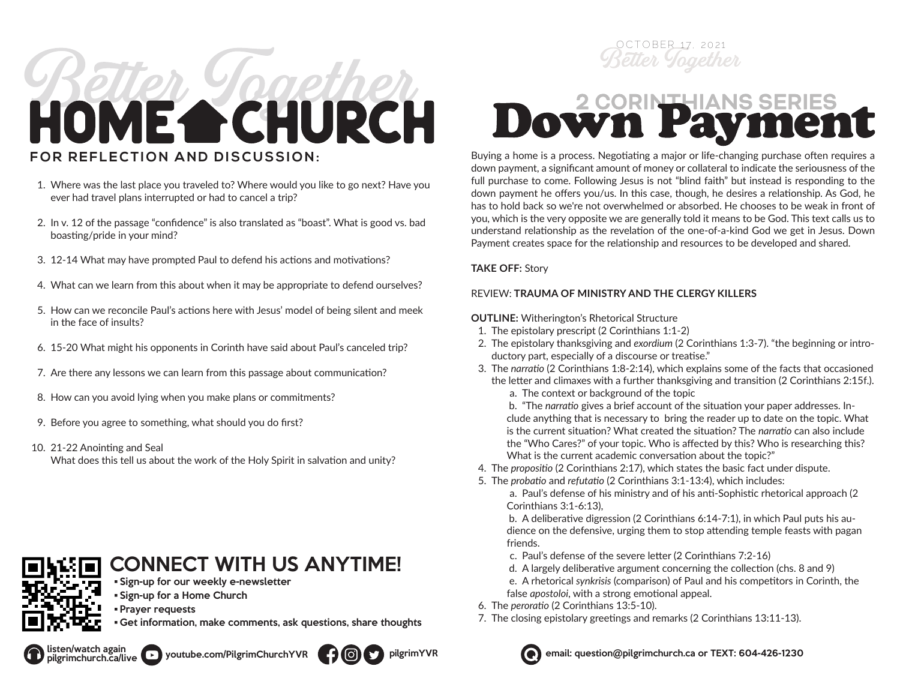# HOME CHURCH **FOR REFLECTION AND DISCUSSION:**

- 1. Where was the last place you traveled to? Where would you like to go next? Have you ever had travel plans interrupted or had to cancel a trip?
- 2. In v. 12 of the passage "confidence" is also translated as "boast". What is good vs. bad boasting/pride in your mind?
- 3. 12-14 What may have prompted Paul to defend his actions and motivations?
- 4. What can we learn from this about when it may be appropriate to defend ourselves?
- 5. How can we reconcile Paul's actions here with Jesus' model of being silent and meek in the face of insults?
- 6. 15-20 What might his opponents in Corinth have said about Paul's canceled trip?
- 7. Are there any lessons we can learn from this passage about communication?
- 8. How can you avoid lying when you make plans or commitments?
- 9. Before you agree to something, what should you do first?
- 10. 21-22 Anointing and Seal
	- What does this tell us about the work of the Holy Spirit in salvation and unity?

### CONNECT WITH US ANYTIME!

- Sign-up for our weekly e-newsletter
- Sign-up for a Home Church
- Prayer requests
- Get information, make comments, ask questions, share thoughts



## Dow UPa

Buying a home is a process. Negotiating a major or life-changing purchase often requires a down payment, a significant amount of money or collateral to indicate the seriousness of the full purchase to come. Following Jesus is not "blind faith" but instead is responding to the down payment he offers you/us. In this case, though, he desires a relationship. As God, he has to hold back so we're not overwhelmed or absorbed. He chooses to be weak in front of you, which is the very opposite we are generally told it means to be God. This text calls us to understand relationship as the revelation of the one-of-a-kind God we get in Jesus. Down Payment creates space for the relationship and resources to be developed and shared.

#### **TAKE OFF:** Story

#### REVIEW: **TRAUMA OF MINISTRY AND THE CLERGY KILLERS**

#### **OUTLINE:** Witherington's Rhetorical Structure

- 1. The epistolary prescript (2 Corinthians 1:1-2)
- 2. The epistolary thanksgiving and *exordium* (2 Corinthians 1:3-7). "the beginning or introductory part, especially of a discourse or treatise."
- 3. The *narratio* (2 Corinthians 1:8-2:14), which explains some of the facts that occasioned the letter and climaxes with a further thanksgiving and transition (2 Corinthians 2:15f.).
	- a. The context or background of the topic

b. "The *narratio* gives a brief account of the situation your paper addresses. Include anything that is necessary to bring the reader up to date on the topic. What is the current situation? What created the situation? The *narratio* can also include the "Who Cares?" of your topic. Who is affected by this? Who is researching this? What is the current academic conversation about the topic?"

- 4. The *propositio* (2 Corinthians 2:17), which states the basic fact under dispute.
- 5. The *probatio* and *refutatio* (2 Corinthians 3:1-13:4), which includes:

a. Paul's defense of his ministry and of his anti-Sophistic rhetorical approach (2 Corinthians 3:1-6:13),

b. A deliberative digression (2 Corinthians 6:14-7:1), in which Paul puts his audience on the defensive, urging them to stop attending temple feasts with pagan friends.

- c. Paul's defense of the severe letter (2 Corinthians 7:2-16)
- d. A largely deliberative argument concerning the collection (chs. 8 and 9)

e. A rhetorical *synkrisis* (comparison) of Paul and his competitors in Corinth, the false *apostoloi*, with a strong emotional appeal.

- 6. The *peroratio* (2 Corinthians 13:5-10).
- 7. The closing epistolary greetings and remarks (2 Corinthians 13:11-13).



listen/watch again youtube.com/PilgrimChurchYVR **email:** pilgrimYVR email: question@pilgrimchurch.ca or TEXT: 604-426-1230

pilgrimchurch.ca/live